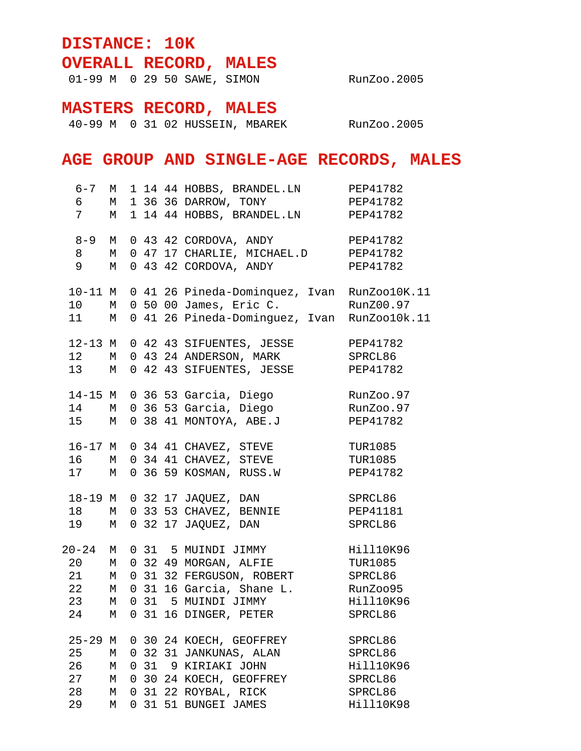## **DISTANCE: 10K OVERALL RECORD, MALES**

01-99 M 0 29 50 SAWE, SIMON RunZoo.2005

## **MASTERS RECORD, MALES**

40-99 M 0 31 02 HUSSEIN, MBAREK RunZoo.2005

## **AGE GROUP AND SINGLE-AGE RECORDS, MALES**

| 6<br>$7\overline{ }$                      | M                     |            | 6-7 M 1 14 44 HOBBS, BRANDEL.LN PEP41782<br>M 1 36 36 DARROW, TONY PEP41782<br>1 14 44 HOBBS, BRANDEL.LN PEP41782                                                                           |                                                                    |
|-------------------------------------------|-----------------------|------------|---------------------------------------------------------------------------------------------------------------------------------------------------------------------------------------------|--------------------------------------------------------------------|
| $8 - 9$ M<br>8 M<br>9 M                   |                       |            | 0 43 42 CORDOVA, ANDY<br>0 47 17 CHARLIE, MICHAEL.D PEP41782<br>0 43 42 CORDOVA, ANDY PEP41782                                                                                              | PEP41782                                                           |
| $10 - 11$ M<br>10 M<br>$11$ M             |                       |            | 0 41 26 Pineda-Dominquez, Ivan RunZoo10K.11<br>0 50 00 James, Eric C.<br>0 41 26 Pineda-Dominguez, Ivan RunZoo10k.11                                                                        | RunZ00.97                                                          |
| $12$ M<br>13 M                            |                       |            | 12-13 M 0 42 43 SIFUENTES, JESSE<br>0 43 24 ANDERSON, MARK SPRCL86<br>0 42 43 SIFUENTES, JESSE PEP41782                                                                                     | PEP41782                                                           |
| 15 M                                      |                       |            | 14-15 M 0 36 53 Garcia, Diego<br>14 M 0 36 53 Garcia, Diego<br>0 38 41 MONTOYA, ABE.J                                                                                                       | RunZoo.97<br>RunZoo.97<br>PEP41782                                 |
| 16 M<br>17 M                              |                       |            | 16-17 M 0 34 41 CHAVEZ, STEVE<br>0 34 41 CHAVEZ, STEVE<br>0 36 59 KOSMAN, RUSS.W                                                                                                            | <b>TUR1085</b><br>TUR1085<br>PEP41782                              |
| 18-19 M<br>18 M<br>19 M                   |                       |            | $0$ 32 17 JAQUEZ, DAN<br>0 33 53 CHAVEZ, BENNIE<br>0 32 17 JAQUEZ, DAN                                                                                                                      | SPRCL86<br>PEP41181<br>SPRCL86                                     |
| $20 - 24$ M<br>21<br>23<br>24             | М                     |            | 0 31 5 MUINDI JIMMY<br>20 M 0 32 49 MORGAN, ALFIE TUR1085<br>M 0 31 32 FERGUSON, ROBERT SPRCL86<br>22 M 0 31 16 Garcia, Shane L. RunZoo95<br>M 0 31 5 MUINDI JIMMY<br>0 31 16 DINGER, PETER | Hill10K96<br>Hill10K96<br>SPRCL86                                  |
| $25 - 29$ M<br>25<br>26<br>27<br>28<br>29 | М<br>М<br>М<br>М<br>М | $0\quad31$ | 0 30 24 KOECH, GEOFFREY<br>0 32 31 JANKUNAS, ALAN<br>9 KIRIAKI JOHN<br>0 30 24 KOECH, GEOFFREY<br>0 31 22 ROYBAL, RICK<br>0 31 51 BUNGEI JAMES                                              | SPRCL86<br>SPRCL86<br>Hill10K96<br>SPRCL86<br>SPRCL86<br>Hill10K98 |